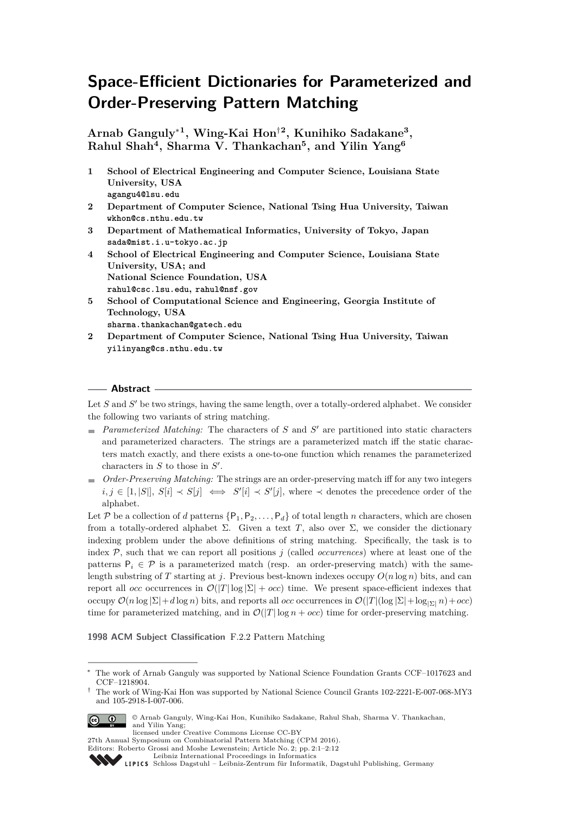# **Space-Efficient Dictionaries for Parameterized and Order-Preserving Pattern Matching**

**Arnab Ganguly**<sup>∗</sup>**<sup>1</sup> , Wing-Kai Hon**†**<sup>2</sup> , Kunihiko Sadakane<sup>3</sup> , Rahul Shah<sup>4</sup> , Sharma V. Thankachan<sup>5</sup> , and Yilin Yang<sup>6</sup>**

- **1 School of Electrical Engineering and Computer Science, Louisiana State University, USA agangu4@lsu.edu**
- **2 Department of Computer Science, National Tsing Hua University, Taiwan wkhon@cs.nthu.edu.tw**
- **3 Department of Mathematical Informatics, University of Tokyo, Japan sada@mist.i.u-tokyo.ac.jp**
- **4 School of Electrical Engineering and Computer Science, Louisiana State University, USA; and National Science Foundation, USA rahul@csc.lsu.edu, rahul@nsf.gov**
- **5 School of Computational Science and Engineering, Georgia Institute of Technology, USA**
- **sharma.thankachan@gatech.edu 2 Department of Computer Science, National Tsing Hua University, Taiwan yilinyang@cs.nthu.edu.tw**

#### **Abstract**

Let  $S$  and  $S'$  be two strings, having the same length, over a totally-ordered alphabet. We consider the following two variants of string matching.

- Parameterized Matching: The characters of *S* and *S'* are partitioned into static characters and parameterized characters. The strings are a parameterized match iff the static characters match exactly, and there exists a one-to-one function which renames the parameterized characters in  $S$  to those in  $S'$ .
- *Order-Preserving Matching:* The strings are an order-preserving match iff for any two integers  $i, j \in [1, |S|], S[i] \prec S[j] \iff S'[i] \prec S'[j],$  where  $\prec$  denotes the precedence order of the alphabet.

Let P be a collection of *d* patterns  $\{P_1, P_2, \ldots, P_d\}$  of total length *n* characters, which are chosen from a totally-ordered alphabet Σ. Given a text *T*, also over Σ, we consider the dictionary indexing problem under the above definitions of string matching. Specifically, the task is to index  $P$ , such that we can report all positions  $j$  (called *occurrences*) where at least one of the patterns  $P_i \in \mathcal{P}$  is a parameterized match (resp. an order-preserving match) with the samelength substring of *T* starting at *j*. Previous best-known indexes occupy  $O(n \log n)$  bits, and can report all *occ* occurrences in  $\mathcal{O}(|T| \log |\Sigma| + occ)$  time. We present space-efficient indexes that occupy O(*n* log |Σ|+*d* log *n*) bits, and reports all *occ* occurrences in O(|*T*|(log |Σ|+log<sup>|</sup>Σ<sup>|</sup> *n*)+*occ*) time for parameterized matching, and in  $\mathcal{O}(|T| \log n + occ)$  time for order-preserving matching.

#### **1998 ACM Subject Classification** F.2.2 Pattern Matching

<sup>†</sup> The work of Wing-Kai Hon was supported by National Science Council Grants 102-2221-E-007-068-MY3 and 105-2918-I-007-006.



© Arnab Ganguly, Wing-Kai Hon, Kunihiko Sadakane, Rahul Shah, Sharma V. Thankachan, and Yilin Yang; licensed under Creative Commons License CC-BY

27th Annual Symposium on Combinatorial Pattern Matching (CPM 2016).

[Schloss Dagstuhl – Leibniz-Zentrum für Informatik, Dagstuhl Publishing, Germany](http://www.dagstuhl.de)

<sup>∗</sup> The work of Arnab Ganguly was supported by National Science Foundation Grants CCF–1017623 and CCF–1218904.

Editors: Roberto Grossi and Moshe Lewenstein; Article No. 2; pp. 2:1–2[:12](#page-11-0)

[Leibniz International Proceedings in Informatics](http://www.dagstuhl.de/lipics/)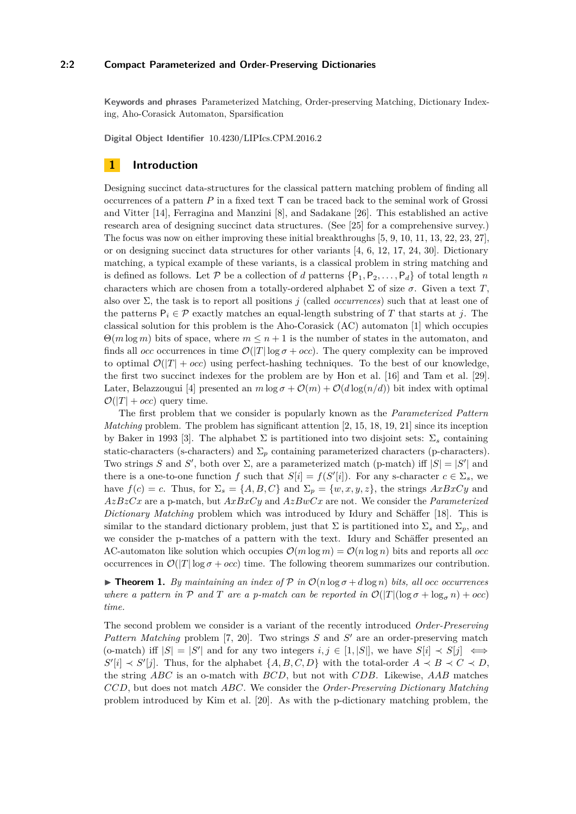#### **2:2 Compact Parameterized and Order-Preserving Dictionaries**

**Keywords and phrases** Parameterized Matching, Order-preserving Matching, Dictionary Indexing, Aho-Corasick Automaton, Sparsification

**Digital Object Identifier** [10.4230/LIPIcs.CPM.2016.2](http://dx.doi.org/10.4230/LIPIcs.CPM.2016.2)

## **1 Introduction**

Designing succinct data-structures for the classical pattern matching problem of finding all occurrences of a pattern  $P$  in a fixed text  $\mathsf T$  can be traced back to the seminal work of Grossi and Vitter [\[14\]](#page-10-0), Ferragina and Manzini [\[8\]](#page-10-1), and Sadakane [\[26\]](#page-11-1). This established an active research area of designing succinct data structures. (See [\[25\]](#page-11-2) for a comprehensive survey.) The focus was now on either improving these initial breakthroughs [\[5,](#page-9-0) [9,](#page-10-2) [10,](#page-10-3) [11,](#page-10-4) [13,](#page-10-5) [22,](#page-11-3) [23,](#page-11-4) [27\]](#page-11-5), or on designing succinct data structures for other variants [\[4,](#page-9-1) [6,](#page-9-2) [12,](#page-10-6) [17,](#page-10-7) [24,](#page-11-6) [30\]](#page-11-7). Dictionary matching, a typical example of these variants, is a classical problem in string matching and is defined as follows. Let  $P$  be a collection of *d* patterns  $\{P_1, P_2, \ldots, P_d\}$  of total length *n* characters which are chosen from a totally-ordered alphabet  $\Sigma$  of size  $\sigma$ . Given a text *T*, also over  $\Sigma$ , the task is to report all positions *j* (called *occurrences*) such that at least one of the patterns  $P_i \in \mathcal{P}$  exactly matches an equal-length substring of *T* that starts at *j*. The classical solution for this problem is the Aho-Corasick (AC) automaton [\[1\]](#page-9-3) which occupies  $\Theta(m \log m)$  bits of space, where  $m \leq n+1$  is the number of states in the automaton, and finds all *occ* occurrences in time  $\mathcal{O}(|T| \log \sigma + occ)$ . The query complexity can be improved to optimal  $\mathcal{O}(|T| + occ)$  using perfect-hashing techniques. To the best of our knowledge, the first two succinct indexes for the problem are by Hon et al. [\[16\]](#page-10-8) and Tam et al. [\[29\]](#page-11-8). Later, Belazzougui [\[4\]](#page-9-1) presented an  $m \log \sigma + \mathcal{O}(m) + \mathcal{O}(d \log(n/d))$  bit index with optimal  $\mathcal{O}(|T| + occ)$  query time.

The first problem that we consider is popularly known as the *Parameterized Pattern Matching* problem. The problem has significant attention [\[2,](#page-9-4) [15,](#page-10-9) [18,](#page-10-10) [19,](#page-10-11) [21\]](#page-10-12) since its inception by Baker in 1993 [\[3\]](#page-9-5). The alphabet  $\Sigma$  is partitioned into two disjoint sets:  $\Sigma_s$  containing static-characters (s-characters) and  $\Sigma_p$  containing parameterized characters (p-characters). Two strings *S* and *S*<sup> $\prime$ </sup>, both over  $\Sigma$ , are a parameterized match (p-match) iff  $|S| = |S'|$  and there is a one-to-one function *f* such that  $S[i] = f(S'[i])$ . For any s-character  $c \in \Sigma_s$ , we have  $f(c) = c$ . Thus, for  $\Sigma_s = \{A, B, C\}$  and  $\Sigma_p = \{w, x, y, z\}$ , the strings  $AxBxCy$  and *AzBzCx* are a p-match, but *AxBxCy* and *AzBwCx* are not. We consider the *Parameterized Dictionary Matching* problem which was introduced by Idury and Schäffer [\[18\]](#page-10-10). This is similar to the standard dictionary problem, just that  $\Sigma$  is partitioned into  $\Sigma_s$  and  $\Sigma_p$ , and we consider the p-matches of a pattern with the text. Idury and Schäffer presented an AC-automaton like solution which occupies  $\mathcal{O}(m \log m) = \mathcal{O}(n \log n)$  bits and reports all *occ* occurrences in  $\mathcal{O}(|T| \log \sigma + occ)$  time. The following theorem summarizes our contribution.

<span id="page-1-0"></span>**Find 1.** *By maintaining an index of*  $\mathcal{P}$  *in*  $\mathcal{O}(n \log \sigma + d \log n)$  *bits, all occ occurrences where a pattern in*  $P$  *and*  $T$  *are a p-match can be reported in*  $\mathcal{O}(|T|(\log \sigma + \log_{\sigma} n) + occ)$ *time.*

The second problem we consider is a variant of the recently introduced *Order-Preserving* Pattern Matching problem [\[7,](#page-9-6) [20\]](#page-10-13). Two strings *S* and *S'* are an order-preserving match  $\Delta$  (o-match) iff  $|S| = |S'|$  and for any two integers  $i, j \in [1, |S|]$ , we have  $S[i] \prec S[j] \iff$  $S'[i] \prec S'[j]$ . Thus, for the alphabet  $\{A, B, C, D\}$  with the total-order  $A \prec B \prec C \prec D$ , the string *ABC* is an o-match with *BCD*, but not with *CDB*. Likewise, *AAB* matches *CCD*, but does not match *ABC*. We consider the *Order-Preserving Dictionary Matching* problem introduced by Kim et al. [\[20\]](#page-10-13). As with the p-dictionary matching problem, the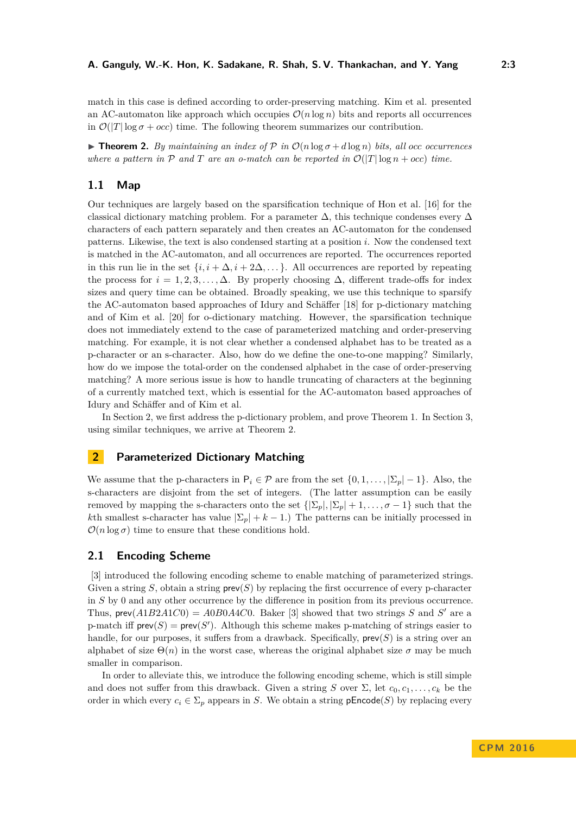match in this case is defined according to order-preserving matching. Kim et al. presented an AC-automaton like approach which occupies  $\mathcal{O}(n \log n)$  bits and reports all occurrences in  $\mathcal{O}(|T| \log \sigma + occ)$  time. The following theorem summarizes our contribution.

<span id="page-2-1"></span>**Find 1.** *By maintaining an index of P in*  $\mathcal{O}(n \log \sigma + d \log n)$  bits, all occ occurrences *where a pattern in*  $P$  *and*  $T$  *are an o-match can be reported in*  $\mathcal{O}(|T| \log n + occ)$  *time.* 

# **1.1 Map**

Our techniques are largely based on the sparsification technique of Hon et al. [\[16\]](#page-10-8) for the classical dictionary matching problem. For a parameter  $\Delta$ , this technique condenses every  $\Delta$ characters of each pattern separately and then creates an AC-automaton for the condensed patterns. Likewise, the text is also condensed starting at a position *i*. Now the condensed text is matched in the AC-automaton, and all occurrences are reported. The occurrences reported in this run lie in the set  $\{i, i + \Delta, i + 2\Delta, ...\}$ . All occurrences are reported by repeating the process for  $i = 1, 2, 3, \ldots, \Delta$ . By properly choosing  $\Delta$ , different trade-offs for index sizes and query time can be obtained. Broadly speaking, we use this technique to sparsify the AC-automaton based approaches of Idury and Schäffer [\[18\]](#page-10-10) for p-dictionary matching and of Kim et al. [\[20\]](#page-10-13) for o-dictionary matching. However, the sparsification technique does not immediately extend to the case of parameterized matching and order-preserving matching. For example, it is not clear whether a condensed alphabet has to be treated as a p-character or an s-character. Also, how do we define the one-to-one mapping? Similarly, how do we impose the total-order on the condensed alphabet in the case of order-preserving matching? A more serious issue is how to handle truncating of characters at the beginning of a currently matched text, which is essential for the AC-automaton based approaches of Idury and Schäffer and of Kim et al.

In Section [2,](#page-2-0) we first address the p-dictionary problem, and prove Theorem [1.](#page-1-0) In Section [3,](#page-8-0) using similar techniques, we arrive at Theorem [2.](#page-2-1)

# <span id="page-2-0"></span>**2 Parameterized Dictionary Matching**

We assume that the p-characters in  $P_i \in \mathcal{P}$  are from the set  $\{0, 1, \ldots, |\Sigma_p| - 1\}$ . Also, the s-characters are disjoint from the set of integers. (The latter assumption can be easily removed by mapping the s-characters onto the set  $\{|\Sigma_p|, |\Sigma_p|+1, \ldots, \sigma-1\}$  such that the *k*th smallest s-character has value  $|\Sigma_p| + k - 1$ .) The patterns can be initially processed in  $\mathcal{O}(n \log \sigma)$  time to ensure that these conditions hold.

## **2.1 Encoding Scheme**

[\[3\]](#page-9-5) introduced the following encoding scheme to enable matching of parameterized strings. Given a string *S*, obtain a string  $\text{prev}(S)$  by replacing the first occurrence of every p-character in *S* by 0 and any other occurrence by the difference in position from its previous occurrence. Thus,  $\text{prev}(A1B2A1C0) = A0B0A4C0$ . Baker [\[3\]](#page-9-5) showed that two strings *S* and *S'* are a p-match iff  $\mathsf{prev}(S) = \mathsf{prev}(S')$ . Although this scheme makes p-matching of strings easier to handle, for our purposes, it suffers from a drawback. Specifically, prev(*S*) is a string over an alphabet of size  $\Theta(n)$  in the worst case, whereas the original alphabet size  $\sigma$  may be much smaller in comparison.

In order to alleviate this, we introduce the following encoding scheme, which is still simple and does not suffer from this drawback. Given a string *S* over  $\Sigma$ , let  $c_0, c_1, \ldots, c_k$  be the order in which every  $c_i \in \Sigma_p$  appears in *S*. We obtain a string **pEncode**(*S*) by replacing every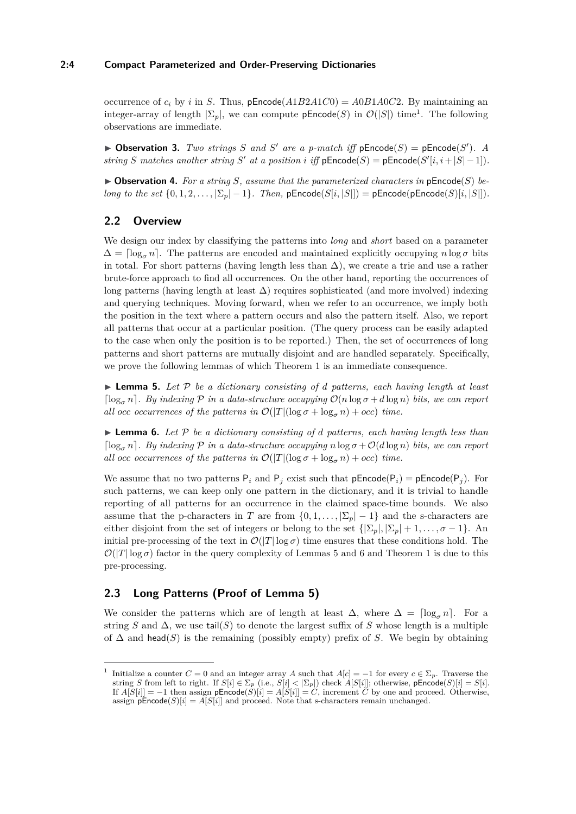## **2:4 Compact Parameterized and Order-Preserving Dictionaries**

occurrence of  $c_i$  by *i* in *S*. Thus, pEncode( $A1B2A1C0$ ) =  $A0B1A0C2$ . By maintaining an integer-array of length  $|\Sigma_p|$ , we can compute  $p\text{Encode}(S)$  in  $\mathcal{O}(|S|)$  time<sup>[1](#page-3-0)</sup>. The following observations are immediate.

<span id="page-3-3"></span>**Dbservation 3.** *Two strings S and S' are a p-match iff*  $pEncode(S) = pEncode(S')$ *. A string S* matches another string *S'* at a position *i* iff  $pEncode(S) = pEncode(S'[i, i + |S| - 1])$ .

<span id="page-3-4"></span> $\triangleright$  **Observation 4.** For a string S, assume that the parameterized characters in pEncode(S) be*long to the set*  $\{0, 1, 2, ..., |\Sigma_p| - 1\}$ *. Then,* pEncode( $S[i, |S|]$ ) = pEncode(pEncode( $S[i, |S|]$ ).

## **2.2 Overview**

We design our index by classifying the patterns into *long* and *short* based on a parameter  $\Delta = \log_{\sigma} n$ . The patterns are encoded and maintained explicitly occupying  $n \log \sigma$  bits in total. For short patterns (having length less than  $\Delta$ ), we create a trie and use a rather brute-force approach to find all occurrences. On the other hand, reporting the occurrences of long patterns (having length at least  $\Delta$ ) requires sophisticated (and more involved) indexing and querying techniques. Moving forward, when we refer to an occurrence, we imply both the position in the text where a pattern occurs and also the pattern itself. Also, we report all patterns that occur at a particular position. (The query process can be easily adapted to the case when only the position is to be reported.) Then, the set of occurrences of long patterns and short patterns are mutually disjoint and are handled separately. Specifically, we prove the following lemmas of which Theorem [1](#page-1-0) is an immediate consequence.

<span id="page-3-1"></span> $\triangleright$  **Lemma 5.** Let P be a dictionary consisting of *d* patterns, each having length at least  $\lceil \log_{\sigma} n \rceil$ . By indexing  $\mathcal{P}$  in a data-structure occupying  $\mathcal{O}(n \log \sigma + d \log n)$  bits, we can report *all occ occurrences of the patterns in*  $\mathcal{O}(|T|(\log \sigma + \log_{\sigma} n) + occ)$  *time.* 

<span id="page-3-2"></span> $\triangleright$  **Lemma 6.** Let P be a dictionary consisting of *d* patterns, each having length less than  $\log_{\sigma} n$ . By indexing P in a data-structure occupying  $n \log \sigma + O(d \log n)$  bits, we can report *all occ occurrences of the patterns in*  $\mathcal{O}(|T|(\log \sigma + \log_{\sigma} n) + occ)$  *time.* 

We assume that no two patterns  $P_i$  and  $P_j$  exist such that  $pEncode(P_i) = pEncode(P_j)$ . For such patterns, we can keep only one pattern in the dictionary, and it is trivial to handle reporting of all patterns for an occurrence in the claimed space-time bounds. We also assume that the p-characters in *T* are from  $\{0,1,\ldots,|\Sigma_p|-1\}$  and the s-characters are either disjoint from the set of integers or belong to the set  $\{|\Sigma_p|, |\Sigma_p|+1, \ldots, \sigma-1\}$ . An initial pre-processing of the text in  $\mathcal{O}(|T| \log \sigma)$  time ensures that these conditions hold. The  $\mathcal{O}(|T|\log \sigma)$  factor in the query complexity of Lemmas [5](#page-3-1) and [6](#page-3-2) and Theorem [1](#page-1-0) is due to this pre-processing.

# **2.3 Long Patterns (Proof of Lemma [5\)](#page-3-1)**

We consider the patterns which are of length at least  $\Delta$ , where  $\Delta = \lceil \log_{\sigma} n \rceil$ . For a string *S* and  $\Delta$ , we use tail(*S*) to denote the largest suffix of *S* whose length is a multiple of ∆ and head(*S*) is the remaining (possibly empty) prefix of *S*. We begin by obtaining

<span id="page-3-0"></span><sup>1</sup> Initialize a counter  $C = 0$  and an integer array *A* such that  $A[c] = -1$  for every  $c \in \Sigma_p$ . Traverse the string *S* from left to right. If  $S[i] \in \Sigma_p$  (i.e.,  $S[i] < |\Sigma_p|$ ) check  $A[S[i]]$ ; otherwise, pEncode(*S*)[*i*] =  $S[i]$ . If  $A[S[i]] = -1$  then assign  $pEncode(S)[i] = A[S[i]] = C$ , increment *C* by one and proceed. Otherwise, assign  $\mathsf{pEncode}(S)[i] = A[S[i]]$  and proceed. Note that s-characters remain unchanged.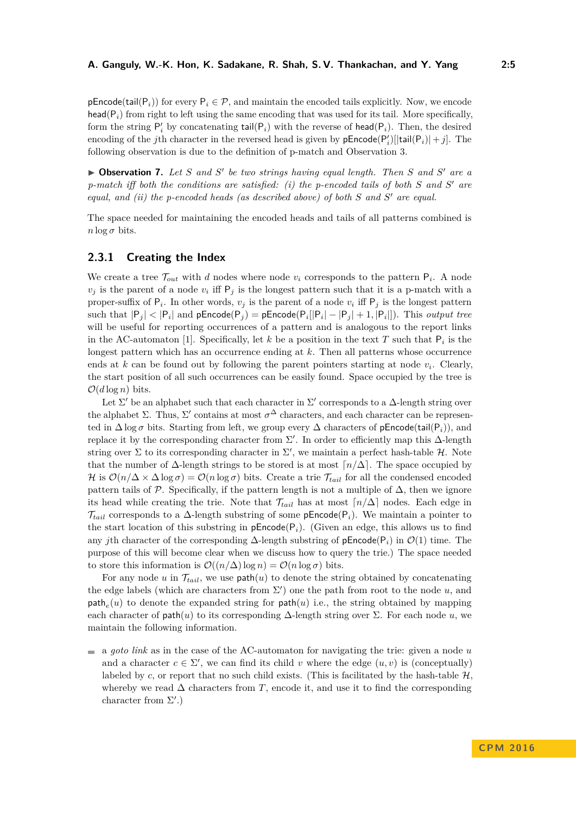**pEncode(tail(P<sub>i</sub>))** for every  $P_i \in \mathcal{P}$ , and maintain the encoded tails explicitly. Now, we encode head( $P_i$ ) from right to left using the same encoding that was used for its tail. More specifically, form the string  $P'_i$  by concatenating  $tail(P_i)$  with the reverse of  $head(P_i)$ . Then, the desired encoding of the *j*th character in the reversed head is given by  $pEncode(P'_i)[tail(i)(P_i)] + j]$ . The following observation is due to the definition of p-match and Observation [3.](#page-3-3)

▶ Observation 7. Let *S* and *S*<sup>'</sup> be two strings having equal length. Then *S* and *S*<sup>'</sup> are a *p-match iff both the conditions are satisfied: (i) the p-encoded tails of both S and S* <sup>0</sup> *are equal, and (ii) the p-encoded heads (as described above) of both S* and *S'* are equal.

The space needed for maintaining the encoded heads and tails of all patterns combined is  $n \log \sigma$  bits.

## **2.3.1 Creating the Index**

We create a tree  $\mathcal{T}_{out}$  with *d* nodes where node  $v_i$  corresponds to the pattern  $P_i$ . A node  $v_j$  is the parent of a node  $v_i$  iff  $P_j$  is the longest pattern such that it is a p-match with a proper-suffix of  $P_i$ . In other words,  $v_j$  is the parent of a node  $v_i$  iff  $P_j$  is the longest pattern  $\text{such that } |\mathsf{P}_j| < |\mathsf{P}_i| \text{ and } \textsf{pEncode}(\mathsf{P}_j) = \textsf{pEncode}(\mathsf{P}_i[|\mathsf{P}_i|-|\mathsf{P}_j|+1,|\mathsf{P}_i|]). \text{ This output tree}$ will be useful for reporting occurrences of a pattern and is analogous to the report links in the AC-automaton [\[1\]](#page-9-3). Specifically, let  $k$  be a position in the text  $T$  such that  $P_i$  is the longest pattern which has an occurrence ending at *k*. Then all patterns whose occurrence ends at  $k$  can be found out by following the parent pointers starting at node  $v_i$ . Clearly, the start position of all such occurrences can be easily found. Space occupied by the tree is  $\mathcal{O}(d \log n)$  bits.

Let  $\Sigma'$  be an alphabet such that each character in  $\Sigma'$  corresponds to a  $\Delta$ -length string over the alphabet  $\Sigma$ . Thus,  $\Sigma'$  contains at most  $\sigma^{\Delta}$  characters, and each character can be represented in  $\Delta \log \sigma$  bits. Starting from left, we group every  $\Delta$  characters of pEncode(tail(P<sub>i</sub>)), and replace it by the corresponding character from  $\Sigma'$ . In order to efficiently map this  $\Delta$ -length string over  $\Sigma$  to its corresponding character in  $\Sigma'$ , we maintain a perfect hash-table  $\mathcal{H}$ . Note that the number of  $\Delta$ -length strings to be stored is at most  $\lceil n/\Delta \rceil$ . The space occupied by H is  $\mathcal{O}(n/\Delta \times \Delta \log \sigma) = \mathcal{O}(n \log \sigma)$  bits. Create a trie  $\mathcal{T}_{tail}$  for all the condensed encoded pattern tails of  $\mathcal{P}$ . Specifically, if the pattern length is not a multiple of  $\Delta$ , then we ignore its head while creating the trie. Note that  $\mathcal{T}_{tail}$  has at most  $\lceil n/\Delta \rceil$  nodes. Each edge in  $\mathcal{T}_{tail}$  corresponds to a  $\Delta$ -length substring of some p**Encode**( $P_i$ ). We maintain a pointer to the start location of this substring in  $pEncode(P_i)$ . (Given an edge, this allows us to find any *j*th character of the corresponding  $\Delta$ -length substring of pEncode( $P_i$ ) in  $\mathcal{O}(1)$  time. The purpose of this will become clear when we discuss how to query the trie.) The space needed to store this information is  $\mathcal{O}((n/\Delta) \log n) = \mathcal{O}(n \log \sigma)$  bits.

For any node *u* in  $\mathcal{T}_{tail}$ , we use  $path(u)$  to denote the string obtained by concatenating the edge labels (which are characters from  $\Sigma'$ ) one the path from root to the node  $u$ , and  $\mathsf{path}_e(u)$  to denote the expanded string for  $\mathsf{path}(u)$  i.e., the string obtained by mapping each character of path(*u*) to its corresponding  $\Delta$ -length string over  $\Sigma$ . For each node *u*, we maintain the following information.

a *goto link* as in the case of the AC-automaton for navigating the trie: given a node *u* and a character  $c \in \Sigma'$ , we can find its child *v* where the edge  $(u, v)$  is (conceptually) labeled by  $c$ , or report that no such child exists. (This is facilitated by the hash-table  $H$ . whereby we read  $\Delta$  characters from *T*, encode it, and use it to find the corresponding character from  $\Sigma'.$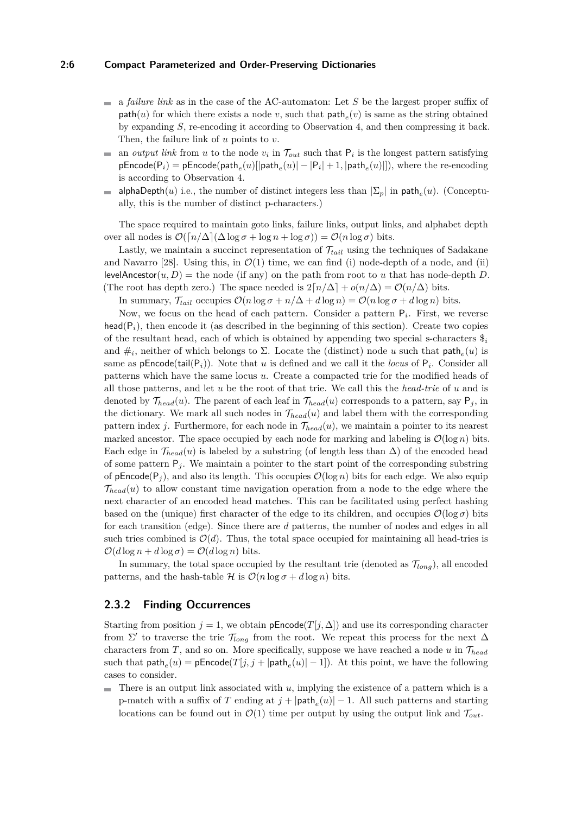#### **2:6 Compact Parameterized and Order-Preserving Dictionaries**

- $\blacksquare$  a *failure link* as in the case of the AC-automaton: Let *S* be the largest proper suffix of  $path(u)$  for which there exists a node *v*, such that  $path_e(v)$  is same as the string obtained by expanding *S*, re-encoding it according to Observation [4,](#page-3-4) and then compressing it back. Then, the failure link of *u* points to *v*.
- an *output link* from *u* to the node  $v_i$  in  $\mathcal{T}_{out}$  such that  $P_i$  is the longest pattern satisfying  $\mathcal{L}_{\mathcal{A}}$  $p\textsf{Encode}(P_i) = p\textsf{Encode}(\textsf{path}_e(u)[|\textsf{path}_e(u)| - |P_i| + 1, |\textsf{path}_e(u)|]),$  where the re-encoding is according to Observation [4.](#page-3-4)
- alphaDepth $(u)$  i.e., the number of distinct integers less than  $|\Sigma_p|$  in path<sub>e</sub> $(u)$ . (Conceptum. ally, this is the number of distinct p-characters.)

The space required to maintain goto links, failure links, output links, and alphabet depth over all nodes is  $\mathcal{O}(\lceil n/\Delta \rceil (\Delta \log \sigma + \log n + \log \sigma)) = \mathcal{O}(n \log \sigma)$  bits.

Lastly, we maintain a succinct representation of T*tail* using the techniques of Sadakane and Navarro [\[28\]](#page-11-9). Using this, in  $\mathcal{O}(1)$  time, we can find (i) node-depth of a node, and (ii) levelAncestor $(u, D)$  = the node (if any) on the path from root to *u* that has node-depth *D*. (The root has depth zero.) The space needed is  $2\lceil n/\Delta \rceil + o(n/\Delta) = \mathcal{O}(n/\Delta)$  bits.

In summary,  $\mathcal{T}_{tail}$  occupies  $\mathcal{O}(n \log \sigma + n/\Delta + d \log n) = \mathcal{O}(n \log \sigma + d \log n)$  bits.

Now, we focus on the head of each pattern. Consider a pattern P*<sup>i</sup>* . First, we reverse head( $P_i$ ), then encode it (as described in the beginning of this section). Create two copies of the resultant head, each of which is obtained by appending two special s-characters \$*<sup>i</sup>* and  $\#_i$ , neither of which belongs to  $\Sigma$ . Locate the (distinct) node *u* such that  $\textsf{path}_e(u)$  is same as  $p\text{Encode}(\text{tail}(P_i))$ . Note that *u* is defined and we call it the *locus* of  $P_i$ . Consider all patterns which have the same locus *u*. Create a compacted trie for the modified heads of all those patterns, and let *u* be the root of that trie. We call this the *head-trie* of *u* and is denoted by  $\mathcal{T}_{head}(u)$ . The parent of each leaf in  $\mathcal{T}_{head}(u)$  corresponds to a pattern, say  $P_j$ , in the dictionary. We mark all such nodes in  $\mathcal{T}_{head}(u)$  and label them with the corresponding pattern index *j*. Furthermore, for each node in  $\mathcal{T}_{head}(u)$ , we maintain a pointer to its nearest marked ancestor. The space occupied by each node for marking and labeling is  $\mathcal{O}(\log n)$  bits. Each edge in  $\mathcal{T}_{head}(u)$  is labeled by a substring (of length less than  $\Delta$ ) of the encoded head of some pattern  $P_j$ . We maintain a pointer to the start point of the corresponding substring of  $p\text{Encode}(P_i)$ , and also its length. This occupies  $\mathcal{O}(\log n)$  bits for each edge. We also equip  $\mathcal{T}_{head}(u)$  to allow constant time navigation operation from a node to the edge where the next character of an encoded head matches. This can be facilitated using perfect hashing based on the (unique) first character of the edge to its children, and occupies  $\mathcal{O}(\log \sigma)$  bits for each transition (edge). Since there are *d* patterns, the number of nodes and edges in all such tries combined is  $\mathcal{O}(d)$ . Thus, the total space occupied for maintaining all head-tries is  $\mathcal{O}(d \log n + d \log \sigma) = \mathcal{O}(d \log n)$  bits.

In summary, the total space occupied by the resultant trie (denoted as  $\mathcal{T}_{long}$ ), all encoded patterns, and the hash-table  $\mathcal H$  is  $\mathcal O(n \log \sigma + d \log n)$  bits.

## <span id="page-5-0"></span>**2.3.2 Finding Occurrences**

Starting from position  $j = 1$ , we obtain pEncode( $T[j, \Delta]$ ) and use its corresponding character from  $\Sigma'$  to traverse the trie  $\mathcal{T}_{long}$  from the root. We repeat this process for the next  $\Delta$ characters from *T*, and so on. More specifically, suppose we have reached a node *u* in T*head* such that  $\mathsf{path}_e(u) = \mathsf{pEncode}(T[j,j+|\mathsf{path}_e(u)|-1])$ . At this point, we have the following cases to consider.

There is an output link associated with *u*, implying the existence of a pattern which is a m. p-match with a suffix of *T* ending at  $j + |\text{path}_e(u)| - 1$ . All such patterns and starting locations can be found out in  $\mathcal{O}(1)$  time per output by using the output link and  $\mathcal{T}_{out}$ .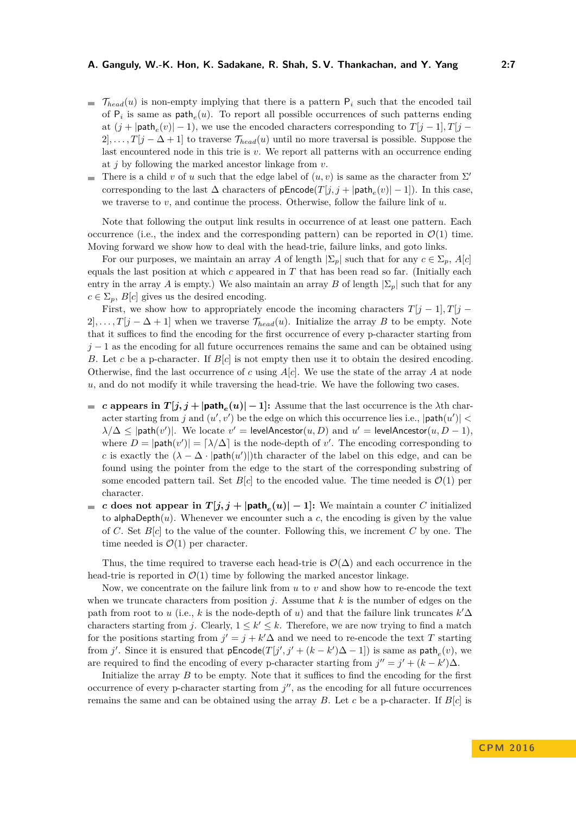- $\mathcal{T}_{head}(u)$  is non-empty implying that there is a pattern  $P_i$  such that the encoded tail of  $P_i$  is same as  $path_e(u)$ . To report all possible occurrences of such patterns ending at  $(j + |\text{path}_e(v)| - 1)$ , we use the encoded characters corresponding to  $T[j - 1], T[j 2$ , ...,  $T[j-\Delta+1]$  to traverse  $\mathcal{T}_{head}(u)$  until no more traversal is possible. Suppose the last encountered node in this trie is  $v$ . We report all patterns with an occurrence ending at *j* by following the marked ancestor linkage from *v*.
- There is a child *v* of *u* such that the edge label of  $(u, v)$  is same as the character from  $\Sigma'$ corresponding to the last  $\Delta$  characters of  $\mathsf{pEncode}(T[j,j+|\mathsf{path}_e(v)|-1])$ . In this case, we traverse to *v*, and continue the process. Otherwise, follow the failure link of *u*.

Note that following the output link results in occurrence of at least one pattern. Each occurrence (i.e., the index and the corresponding pattern) can be reported in  $\mathcal{O}(1)$  time. Moving forward we show how to deal with the head-trie, failure links, and goto links.

For our purposes, we maintain an array *A* of length  $|\Sigma_p|$  such that for any  $c \in \Sigma_p$ ,  $A[c]$ equals the last position at which *c* appeared in *T* that has been read so far. (Initially each entry in the array *A* is empty.) We also maintain an array *B* of length  $|\Sigma_p|$  such that for any  $c \in \Sigma_p$ , *B*[*c*] gives us the desired encoding.

First, we show how to appropriately encode the incoming characters  $T[j-1], T[j-1]$  $2$ , ...,  $T[j - \Delta + 1]$  when we traverse  $\mathcal{T}_{head}(u)$ . Initialize the array *B* to be empty. Note that it suffices to find the encoding for the first occurrence of every p-character starting from  $j-1$  as the encoding for all future occurrences remains the same and can be obtained using *B*. Let *c* be a p-character. If *B*[*c*] is not empty then use it to obtain the desired encoding. Otherwise, find the last occurrence of *c* using *A*[*c*]. We use the state of the array *A* at node *u*, and do not modify it while traversing the head-trie. We have the following two cases.

- *c* **appears in**  $T[j, j + |path_e(u)| 1]$ : Assume that the last occurrence is the *λ*th character starting from *j* and  $(u', v')$  be the edge on which this occurrence lies i.e.,  $|\text{path}(u')|$  <  $\lambda/\Delta \leq$  |path $(v')$ |. We locate  $v' =$  levelAncestor $(u, D)$  and  $u' =$  levelAncestor $(u, D - 1)$ , where  $D = |\text{path}(v')| = \lceil \lambda / \Delta \rceil$  is the node-depth of *v'*. The encoding corresponding to *c* is exactly the  $(\lambda - \Delta \cdot |path(u')|)$ <sup>th</sup> character of the label on this edge, and can be found using the pointer from the edge to the start of the corresponding substring of some encoded pattern tail. Set  $B[c]$  to the encoded value. The time needed is  $\mathcal{O}(1)$  per character.
- *c* does not appear in  $T[j, j + |\text{path}_e(u)| 1]$ : We maintain a counter *C* initialized to alphaDepth $(u)$ . Whenever we encounter such a c, the encoding is given by the value of *C*. Set *B*[*c*] to the value of the counter. Following this, we increment *C* by one. The time needed is  $\mathcal{O}(1)$  per character.

Thus, the time required to traverse each head-trie is  $\mathcal{O}(\Delta)$  and each occurrence in the head-trie is reported in  $\mathcal{O}(1)$  time by following the marked ancestor linkage.

Now, we concentrate on the failure link from *u* to *v* and show how to re-encode the text when we truncate characters from position  $j$ . Assume that  $k$  is the number of edges on the path from root to *u* (i.e., *k* is the node-depth of *u*) and that the failure link truncates  $k' \Delta$ characters starting from *j*. Clearly,  $1 \leq k' \leq k$ . Therefore, we are now trying to find a match for the positions starting from  $j' = j + k'\Delta$  and we need to re-encode the text *T* starting from *j'*. Since it is ensured that  $pEncode(T[j', j' + (k - k')\Delta - 1])$  is same as  $path_e(v)$ , we are required to find the encoding of every p-character starting from  $j'' = j' + (k - k')\Delta$ .

Initialize the array *B* to be empty. Note that it suffices to find the encoding for the first occurrence of every p-character starting from  $j''$ , as the encoding for all future occurrences remains the same and can be obtained using the array *B*. Let *c* be a p-character. If  $B[c]$  is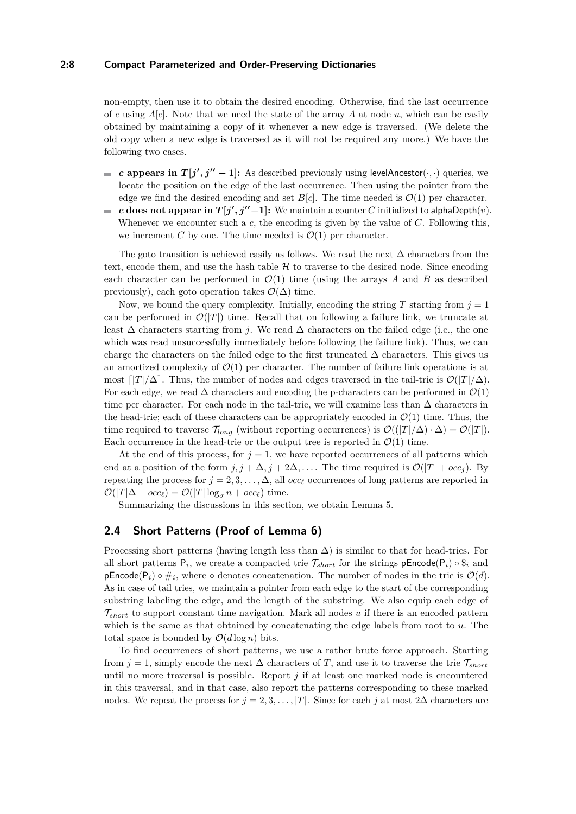#### **2:8 Compact Parameterized and Order-Preserving Dictionaries**

non-empty, then use it to obtain the desired encoding. Otherwise, find the last occurrence of *c* using  $A[c]$ . Note that we need the state of the array A at node *u*, which can be easily obtained by maintaining a copy of it whenever a new edge is traversed. (We delete the old copy when a new edge is traversed as it will not be required any more.) We have the following two cases.

- *c* appears in  $T[j', j'' 1]$ : As described previously using levelAncestor( $\cdot, \cdot$ ) queries, we  $\overline{a}$ locate the position on the edge of the last occurrence. Then using the pointer from the edge we find the desired encoding and set  $B[c]$ . The time needed is  $\mathcal{O}(1)$  per character.
- *c* does not appear in  $T[j', j''-1]$ : We maintain a counter *C* initialized to alphaDepth $(v)$ .  $\mathcal{L}_{\mathcal{A}}$ Whenever we encounter such a *c*, the encoding is given by the value of *C*. Following this, we increment *C* by one. The time needed is  $\mathcal{O}(1)$  per character.

The goto transition is achieved easily as follows. We read the next  $\Delta$  characters from the text, encode them, and use the hash table  $H$  to traverse to the desired node. Since encoding each character can be performed in  $\mathcal{O}(1)$  time (using the arrays A and B as described previously), each goto operation takes  $\mathcal{O}(\Delta)$  time.

Now, we bound the query complexity. Initially, encoding the string  $T$  starting from  $j = 1$ can be performed in  $\mathcal{O}(|T|)$  time. Recall that on following a failure link, we truncate at least ∆ characters starting from *j*. We read ∆ characters on the failed edge (i.e., the one which was read unsuccessfully immediately before following the failure link). Thus, we can charge the characters on the failed edge to the first truncated  $\Delta$  characters. This gives us an amortized complexity of  $\mathcal{O}(1)$  per character. The number of failure link operations is at most  $\lceil |T|/\Delta \rceil$ . Thus, the number of nodes and edges traversed in the tail-trie is  $\mathcal{O}(|T|/\Delta)$ . For each edge, we read  $\Delta$  characters and encoding the p-characters can be performed in  $\mathcal{O}(1)$ time per character. For each node in the tail-trie, we will examine less than  $\Delta$  characters in the head-trie; each of these characters can be appropriately encoded in  $\mathcal{O}(1)$  time. Thus, the time required to traverse  $\mathcal{T}_{long}$  (without reporting occurrences) is  $\mathcal{O}(|T|/\Delta) \cdot \Delta = \mathcal{O}(|T|)$ . Each occurrence in the head-trie or the output tree is reported in  $\mathcal{O}(1)$  time.

At the end of this process, for  $j = 1$ , we have reported occurrences of all patterns which end at a position of the form  $j, j + \Delta, j + 2\Delta, \ldots$ . The time required is  $\mathcal{O}(|T| + occ_j)$ . By repeating the process for  $j = 2, 3, \ldots, \Delta$ , all *occ<sub>l</sub>* occurrences of long patterns are reported in  $\mathcal{O}(|T|\Delta + occ_{\ell}) = \mathcal{O}(|T|\log_{\sigma} n + occ_{\ell})$  time.

Summarizing the discussions in this section, we obtain Lemma [5.](#page-3-1)

## **2.4 Short Patterns (Proof of Lemma [6\)](#page-3-2)**

Processing short patterns (having length less than  $\Delta$ ) is similar to that for head-tries. For all short patterns  $P_i$ , we create a compacted trie  $\mathcal{T}_{short}$  for the strings  $pEncode(P_i) \circ \$_i$  and pEncode( $P_i$ ) ∘  $\#_i$ , where ∘ denotes concatenation. The number of nodes in the trie is  $\mathcal{O}(d)$ . As in case of tail tries, we maintain a pointer from each edge to the start of the corresponding substring labeling the edge, and the length of the substring. We also equip each edge of T*short* to support constant time navigation. Mark all nodes *u* if there is an encoded pattern which is the same as that obtained by concatenating the edge labels from root to *u*. The total space is bounded by  $\mathcal{O}(d \log n)$  bits.

To find occurrences of short patterns, we use a rather brute force approach. Starting from  $j = 1$ , simply encode the next  $\Delta$  characters of *T*, and use it to traverse the trie  $\mathcal{T}_{short}$ until no more traversal is possible. Report *j* if at least one marked node is encountered in this traversal, and in that case, also report the patterns corresponding to these marked nodes. We repeat the process for  $j = 2, 3, \ldots, |T|$ . Since for each *j* at most 2∆ characters are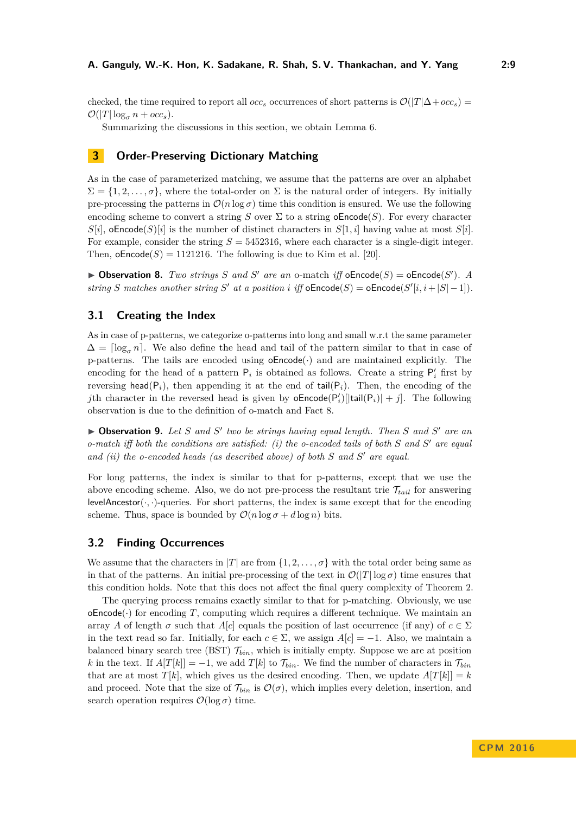checked, the time required to report all *occ<sub>s</sub>* occurrences of short patterns is  $\mathcal{O}(|T|\Delta + occ_s)$  $\mathcal{O}(|T|\log_{\sigma} n + occ_s).$ 

Summarizing the discussions in this section, we obtain Lemma [6.](#page-3-2)

# <span id="page-8-0"></span>**3 Order-Preserving Dictionary Matching**

As in the case of parameterized matching, we assume that the patterns are over an alphabet  $\Sigma = \{1, 2, \ldots, \sigma\}$ , where the total-order on  $\Sigma$  is the natural order of integers. By initially pre-processing the patterns in  $\mathcal{O}(n \log \sigma)$  time this condition is ensured. We use the following encoding scheme to convert a string *S* over  $\Sigma$  to a string **oEncode**(*S*). For every character  $S[i]$ , oEncode $(S)[i]$  is the number of distinct characters in  $S[1,i]$  having value at most  $S[i]$ . For example, consider the string *S* = 5452316, where each character is a single-digit integer. Then,  $oEncode(S) = 1121216$ . The following is due to Kim et al. [\[20\]](#page-10-13).

<span id="page-8-1"></span>**Dbservation 8.** *Two strings S* and *S'* are an o-match *iff*  $oEncode(S) = oEncode(S')$ *. A string S* matches another string *S*<sup>'</sup> at a position *i* iff  $oEncode(S) = oEncode(S'[i, i + |S| - 1])$ .

## **3.1 Creating the Index**

As in case of p-patterns, we categorize o-patterns into long and small w.r.t the same parameter  $\Delta = \lceil \log_{\sigma} n \rceil$ . We also define the head and tail of the pattern similar to that in case of p-patterns. The tails are encoded using  $oEncode(\cdot)$  and are maintained explicitly. The encoding for the head of a pattern  $P_i$  is obtained as follows. Create a string  $P'_i$  first by reversing head( $P_i$ ), then appending it at the end of tail( $P_i$ ). Then, the encoding of the *j*th character in the reversed head is given by  $oEncode(P_i')[|tail(P_i)| + j]$ . The following observation is due to the definition of o-match and Fact [8.](#page-8-1)

▶ Observation 9. Let *S* and *S'* two be strings having equal length. Then *S* and *S'* are an *o-match iff both the conditions are satisfied: (i) the o-encoded tails of both S* and *S'* are equal *and (ii) the o-encoded heads (as described above) of both S* and *S'* are equal.

For long patterns, the index is similar to that for p-patterns, except that we use the above encoding scheme. Also, we do not pre-process the resultant trie  $\mathcal{T}_{tail}$  for answering levelAncestor( $\cdot$ ,  $\cdot$ )-queries. For short patterns, the index is same except that for the encoding scheme. Thus, space is bounded by  $\mathcal{O}(n \log \sigma + d \log n)$  bits.

## **3.2 Finding Occurrences**

We assume that the characters in |*T*| are from  $\{1, 2, \ldots, \sigma\}$  with the total order being same as in that of the patterns. An initial pre-processing of the text in  $\mathcal{O}(|T|\log \sigma)$  time ensures that this condition holds. Note that this does not affect the final query complexity of Theorem [2.](#page-2-1)

The querying process remains exactly similar to that for p-matching. Obviously, we use  $oEncode(\cdot)$  for encoding *T*, computing which requires a different technique. We maintain an array *A* of length  $\sigma$  such that *A*[*c*] equals the position of last occurrence (if any) of  $c \in \Sigma$ in the text read so far. Initially, for each  $c \in \Sigma$ , we assign  $A[c] = -1$ . Also, we maintain a balanced binary search tree (BST)  $\mathcal{T}_{bin}$ , which is initially empty. Suppose we are at position *k* in the text. If  $A[T[k]] = -1$ , we add  $T[k]$  to  $\mathcal{T}_{bin}$ . We find the number of characters in  $\mathcal{T}_{bin}$ that are at most  $T[k]$ , which gives us the desired encoding. Then, we update  $A[T[k]] = k$ and proceed. Note that the size of  $\mathcal{T}_{bin}$  is  $\mathcal{O}(\sigma)$ , which implies every deletion, insertion, and search operation requires  $\mathcal{O}(\log \sigma)$  time.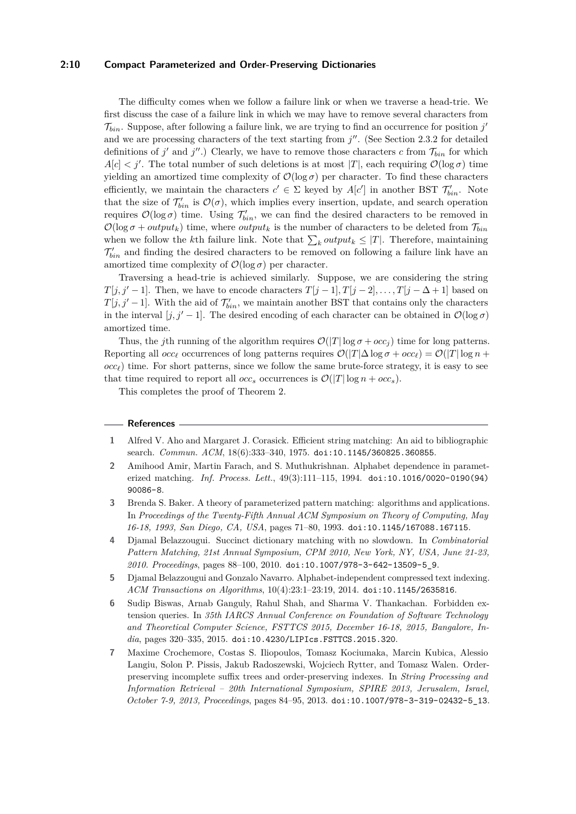#### **2:10 Compact Parameterized and Order-Preserving Dictionaries**

The difficulty comes when we follow a failure link or when we traverse a head-trie. We first discuss the case of a failure link in which we may have to remove several characters from  $\mathcal{T}_{bin}$ . Suppose, after following a failure link, we are trying to find an occurrence for position  $j'$ and we are processing characters of the text starting from  $j''$ . (See Section [2.3.2](#page-5-0) for detailed definitions of  $j'$  and  $j''$ .) Clearly, we have to remove those characters *c* from  $\mathcal{T}_{bin}$  for which  $A[c] \leq j'$ . The total number of such deletions is at most |*T*|, each requiring  $\mathcal{O}(\log \sigma)$  time yielding an amortized time complexity of  $\mathcal{O}(\log \sigma)$  per character. To find these characters efficiently, we maintain the characters  $c' \in \Sigma$  keyed by  $A[c']$  in another BST  $\mathcal{T}'_{bin}$ . Note that the size of  $\mathcal{T}'_{bin}$  is  $\mathcal{O}(\sigma)$ , which implies every insertion, update, and search operation requires  $\mathcal{O}(\log \sigma)$  time. Using  $\mathcal{T}'_{bin}$ , we can find the desired characters to be removed in  $\mathcal{O}(\log \sigma + output_k)$  time, where *output<sub>k</sub>* is the number of characters to be deleted from  $\mathcal{T}_{bin}$ when we follow the *k*<sup>th</sup> failure link. Note that  $\sum_{k} output_k \leq |T|$ . Therefore, maintaining  $\mathcal{T}'_{bin}$  and finding the desired characters to be removed on following a failure link have an amortized time complexity of  $\mathcal{O}(\log \sigma)$  per character.

Traversing a head-trie is achieved similarly. Suppose, we are considering the string *T*[*j, j'* − 1]. Then, we have to encode characters  $T[j-1], T[j-2], \ldots, T[j-\Delta+1]$  based on *T*[*j*, *j*<sup> $\prime$ </sup> − 1]. With the aid of  $\mathcal{T}'_{bin}$ , we maintain another BST that contains only the characters in the interval [*j, j'* − 1]. The desired encoding of each character can be obtained in  $\mathcal{O}(\log \sigma)$ amortized time.

Thus, the *j*th running of the algorithm requires  $\mathcal{O}(|T| \log \sigma + occ_j)$  time for long patterns. Reporting all *occ*<sub>*i*</sub> occurrences of long patterns requires  $\mathcal{O}(|T|\Delta \log \sigma + occ_{\ell}) = \mathcal{O}(|T| \log n +$  $\overline{occ}$ ) time. For short patterns, since we follow the same brute-force strategy, it is easy to see that time required to report all *occ<sub>s</sub>* occurrences is  $\mathcal{O}(|T| \log n + occ_s)$ .

This completes the proof of Theorem [2.](#page-2-1)

#### **References**

- <span id="page-9-3"></span>**1** Alfred V. Aho and Margaret J. Corasick. Efficient string matching: An aid to bibliographic search. *Commun. ACM*, 18(6):333–340, 1975. [doi:10.1145/360825.360855](http://dx.doi.org/10.1145/360825.360855).
- <span id="page-9-4"></span>**2** Amihood Amir, Martin Farach, and S. Muthukrishnan. Alphabet dependence in parameterized matching. *Inf. Process. Lett.*, 49(3):111–115, 1994. [doi:10.1016/0020-0190\(94\)](http://dx.doi.org/10.1016/0020-0190(94)90086-8) [90086-8](http://dx.doi.org/10.1016/0020-0190(94)90086-8).
- <span id="page-9-5"></span>**3** Brenda S. Baker. A theory of parameterized pattern matching: algorithms and applications. In *Proceedings of the Twenty-Fifth Annual ACM Symposium on Theory of Computing, May 16-18, 1993, San Diego, CA, USA*, pages 71–80, 1993. [doi:10.1145/167088.167115](http://dx.doi.org/10.1145/167088.167115).
- <span id="page-9-1"></span>**4** Djamal Belazzougui. Succinct dictionary matching with no slowdown. In *Combinatorial Pattern Matching, 21st Annual Symposium, CPM 2010, New York, NY, USA, June 21-23, 2010. Proceedings*, pages 88–100, 2010. [doi:10.1007/978-3-642-13509-5\\_9](http://dx.doi.org/10.1007/978-3-642-13509-5_9).
- <span id="page-9-0"></span>**5** Djamal Belazzougui and Gonzalo Navarro. Alphabet-independent compressed text indexing. *ACM Transactions on Algorithms*, 10(4):23:1–23:19, 2014. [doi:10.1145/2635816](http://dx.doi.org/10.1145/2635816).
- <span id="page-9-2"></span>**6** Sudip Biswas, Arnab Ganguly, Rahul Shah, and Sharma V. Thankachan. Forbidden extension queries. In *35th IARCS Annual Conference on Foundation of Software Technology and Theoretical Computer Science, FSTTCS 2015, December 16-18, 2015, Bangalore, India*, pages 320–335, 2015. [doi:10.4230/LIPIcs.FSTTCS.2015.320](http://dx.doi.org/10.4230/LIPIcs.FSTTCS.2015.320).
- <span id="page-9-6"></span>**7** Maxime Crochemore, Costas S. Iliopoulos, Tomasz Kociumaka, Marcin Kubica, Alessio Langiu, Solon P. Pissis, Jakub Radoszewski, Wojciech Rytter, and Tomasz Walen. Orderpreserving incomplete suffix trees and order-preserving indexes. In *String Processing and Information Retrieval – 20th International Symposium, SPIRE 2013, Jerusalem, Israel, October 7-9, 2013, Proceedings*, pages 84–95, 2013. [doi:10.1007/978-3-319-02432-5\\_13](http://dx.doi.org/10.1007/978-3-319-02432-5_13).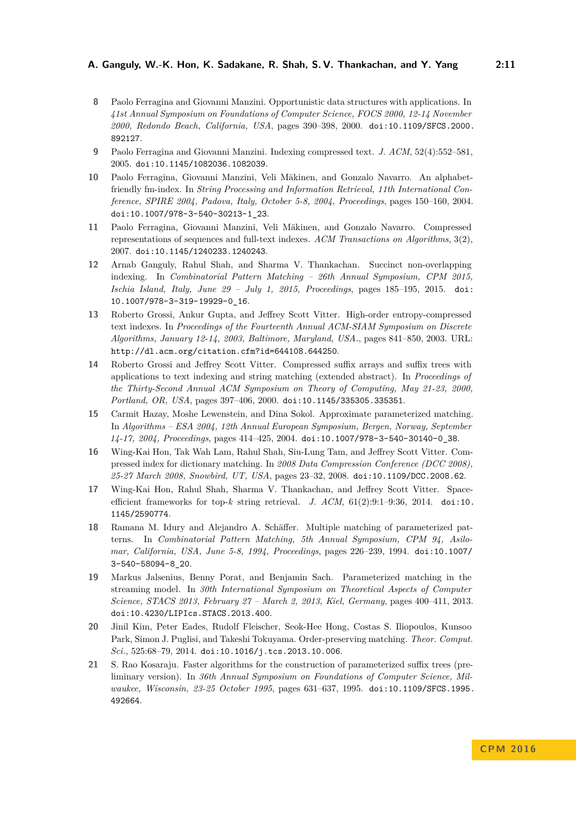- <span id="page-10-1"></span>**8** Paolo Ferragina and Giovanni Manzini. Opportunistic data structures with applications. In *41st Annual Symposium on Foundations of Computer Science, FOCS 2000, 12-14 November 2000, Redondo Beach, California, USA*, pages 390–398, 2000. [doi:10.1109/SFCS.2000.](http://dx.doi.org/10.1109/SFCS.2000.892127) [892127](http://dx.doi.org/10.1109/SFCS.2000.892127).
- <span id="page-10-2"></span>**9** Paolo Ferragina and Giovanni Manzini. Indexing compressed text. *J. ACM*, 52(4):552–581, 2005. [doi:10.1145/1082036.1082039](http://dx.doi.org/10.1145/1082036.1082039).
- <span id="page-10-3"></span>**10** Paolo Ferragina, Giovanni Manzini, Veli Mäkinen, and Gonzalo Navarro. An alphabetfriendly fm-index. In *String Processing and Information Retrieval, 11th International Conference, SPIRE 2004, Padova, Italy, October 5-8, 2004, Proceedings*, pages 150–160, 2004. [doi:10.1007/978-3-540-30213-1\\_23](http://dx.doi.org/10.1007/978-3-540-30213-1_23).
- <span id="page-10-4"></span>**11** Paolo Ferragina, Giovanni Manzini, Veli Mäkinen, and Gonzalo Navarro. Compressed representations of sequences and full-text indexes. *ACM Transactions on Algorithms*, 3(2), 2007. [doi:10.1145/1240233.1240243](http://dx.doi.org/10.1145/1240233.1240243).
- <span id="page-10-6"></span>**12** Arnab Ganguly, Rahul Shah, and Sharma V. Thankachan. Succinct non-overlapping indexing. In *Combinatorial Pattern Matching – 26th Annual Symposium, CPM 2015, Ischia Island, Italy, June 29 – July 1, 2015, Proceedings*, pages 185–195, 2015. [doi:](http://dx.doi.org/10.1007/978-3-319-19929-0_16) [10.1007/978-3-319-19929-0\\_16](http://dx.doi.org/10.1007/978-3-319-19929-0_16).
- <span id="page-10-5"></span>**13** Roberto Grossi, Ankur Gupta, and Jeffrey Scott Vitter. High-order entropy-compressed text indexes. In *Proceedings of the Fourteenth Annual ACM-SIAM Symposium on Discrete Algorithms, January 12-14, 2003, Baltimore, Maryland, USA.*, pages 841–850, 2003. URL: <http://dl.acm.org/citation.cfm?id=644108.644250>.
- <span id="page-10-0"></span>**14** Roberto Grossi and Jeffrey Scott Vitter. Compressed suffix arrays and suffix trees with applications to text indexing and string matching (extended abstract). In *Proceedings of the Thirty-Second Annual ACM Symposium on Theory of Computing, May 21-23, 2000, Portland, OR, USA*, pages 397–406, 2000. [doi:10.1145/335305.335351](http://dx.doi.org/10.1145/335305.335351).
- <span id="page-10-9"></span>**15** Carmit Hazay, Moshe Lewenstein, and Dina Sokol. Approximate parameterized matching. In *Algorithms – ESA 2004, 12th Annual European Symposium, Bergen, Norway, September 14-17, 2004, Proceedings*, pages 414–425, 2004. [doi:10.1007/978-3-540-30140-0\\_38](http://dx.doi.org/10.1007/978-3-540-30140-0_38).
- <span id="page-10-8"></span>**16** Wing-Kai Hon, Tak Wah Lam, Rahul Shah, Siu-Lung Tam, and Jeffrey Scott Vitter. Compressed index for dictionary matching. In *2008 Data Compression Conference (DCC 2008), 25-27 March 2008, Snowbird, UT, USA*, pages 23–32, 2008. [doi:10.1109/DCC.2008.62](http://dx.doi.org/10.1109/DCC.2008.62).
- <span id="page-10-7"></span>**17** Wing-Kai Hon, Rahul Shah, Sharma V. Thankachan, and Jeffrey Scott Vitter. Spaceefficient frameworks for top-*k* string retrieval. *J. ACM*, 61(2):9:1–9:36, 2014. [doi:10.](http://dx.doi.org/10.1145/2590774) [1145/2590774](http://dx.doi.org/10.1145/2590774).
- <span id="page-10-10"></span>**18** Ramana M. Idury and Alejandro A. Schäffer. Multiple matching of parameterized patterns. In *Combinatorial Pattern Matching, 5th Annual Symposium, CPM 94, Asilomar, California, USA, June 5-8, 1994, Proceedings*, pages 226–239, 1994. [doi:10.1007/](http://dx.doi.org/10.1007/3-540-58094-8_20) [3-540-58094-8\\_20](http://dx.doi.org/10.1007/3-540-58094-8_20).
- <span id="page-10-11"></span>**19** Markus Jalsenius, Benny Porat, and Benjamin Sach. Parameterized matching in the streaming model. In *30th International Symposium on Theoretical Aspects of Computer Science, STACS 2013, February 27 – March 2, 2013, Kiel, Germany*, pages 400–411, 2013. [doi:10.4230/LIPIcs.STACS.2013.400](http://dx.doi.org/10.4230/LIPIcs.STACS.2013.400).
- <span id="page-10-13"></span>**20** Jinil Kim, Peter Eades, Rudolf Fleischer, Seok-Hee Hong, Costas S. Iliopoulos, Kunsoo Park, Simon J. Puglisi, and Takeshi Tokuyama. Order-preserving matching. *Theor. Comput. Sci.*, 525:68–79, 2014. [doi:10.1016/j.tcs.2013.10.006](http://dx.doi.org/10.1016/j.tcs.2013.10.006).
- <span id="page-10-12"></span>**21** S. Rao Kosaraju. Faster algorithms for the construction of parameterized suffix trees (preliminary version). In *36th Annual Symposium on Foundations of Computer Science, Milwaukee, Wisconsin, 23-25 October 1995*, pages 631–637, 1995. [doi:10.1109/SFCS.1995.](http://dx.doi.org/10.1109/SFCS.1995.492664) [492664](http://dx.doi.org/10.1109/SFCS.1995.492664).